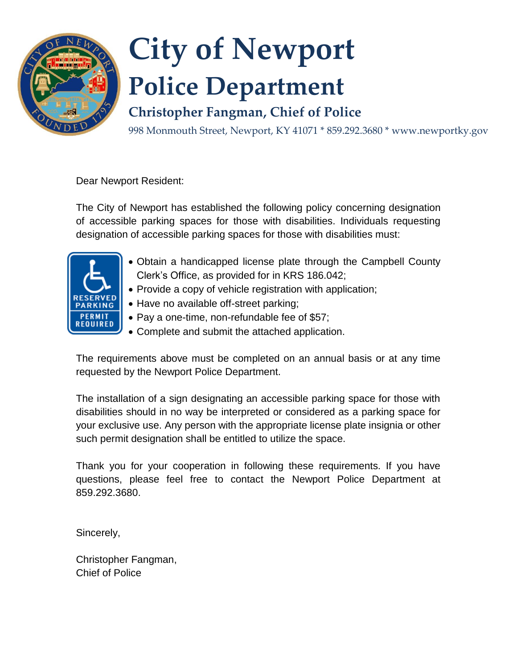

Dear Newport Resident:

The City of Newport has established the following policy concerning designation of accessible parking spaces for those with disabilities. Individuals requesting designation of accessible parking spaces for those with disabilities must:



- Obtain a handicapped license plate through the Campbell County Clerk's Office, as provided for in KRS 186.042;
- Provide a copy of vehicle registration with application;
- Have no available off-street parking;
- Pay a one-time, non-refundable fee of \$57;
- Complete and submit the attached application.

The requirements above must be completed on an annual basis or at any time requested by the Newport Police Department.

The installation of a sign designating an accessible parking space for those with disabilities should in no way be interpreted or considered as a parking space for your exclusive use. Any person with the appropriate license plate insignia or other such permit designation shall be entitled to utilize the space.

Thank you for your cooperation in following these requirements. If you have questions, please feel free to contact the Newport Police Department at 859.292.3680.

Sincerely,

Christopher Fangman, Chief of Police